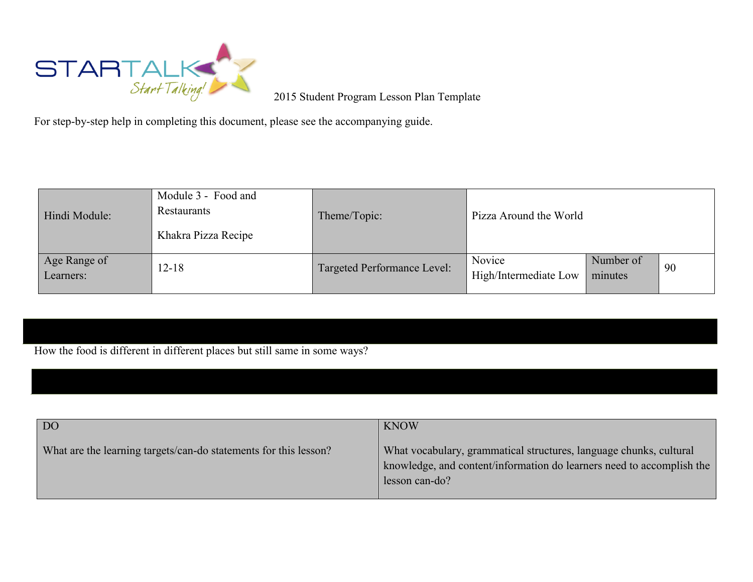

2015 Student Program Lesson Plan Template

For step-by-step help in completing this document, please see the accompanying guide.

| Hindi Module:             | Module 3 - Food and<br>Restaurants<br>Khakra Pizza Recipe | Theme/Topic:                | Pizza Around the World          |                      |    |
|---------------------------|-----------------------------------------------------------|-----------------------------|---------------------------------|----------------------|----|
| Age Range of<br>Learners: | $12 - 18$                                                 | Targeted Performance Level: | Novice<br>High/Intermediate Low | Number of<br>minutes | 90 |

How the food is different in different places but still same in some ways?

| DO <sub>1</sub>                                                  | <b>KNOW</b>                                                                                                                                                   |
|------------------------------------------------------------------|---------------------------------------------------------------------------------------------------------------------------------------------------------------|
| What are the learning targets/can-do statements for this lesson? | What vocabulary, grammatical structures, language chunks, cultural<br>knowledge, and content/information do learners need to accomplish the<br>lesson can-do? |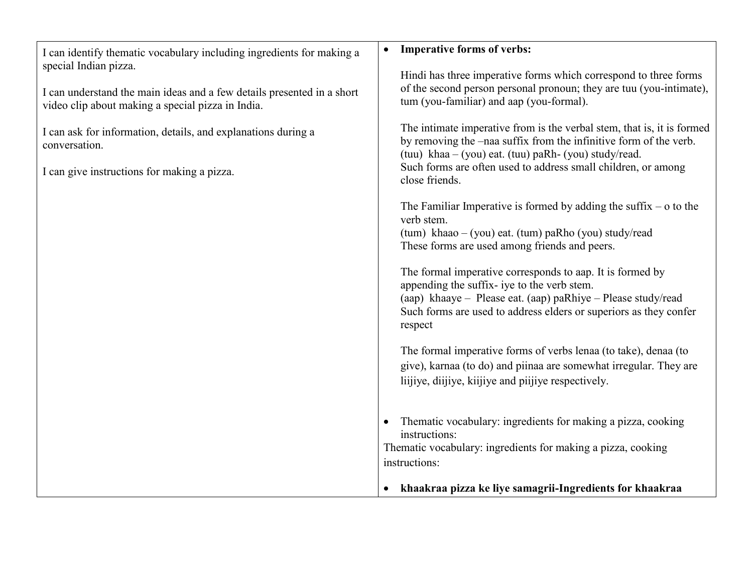| I can identify thematic vocabulary including ingredients for making a<br>special Indian pizza.                              | <b>Imperative forms of verbs:</b>                                                                                                                                                                                                                        |
|-----------------------------------------------------------------------------------------------------------------------------|----------------------------------------------------------------------------------------------------------------------------------------------------------------------------------------------------------------------------------------------------------|
|                                                                                                                             | Hindi has three imperative forms which correspond to three forms                                                                                                                                                                                         |
| I can understand the main ideas and a few details presented in a short<br>video clip about making a special pizza in India. | of the second person personal pronoun; they are tuu (you-intimate),<br>tum (you-familiar) and aap (you-formal).                                                                                                                                          |
| I can ask for information, details, and explanations during a<br>conversation.                                              | The intimate imperative from is the verbal stem, that is, it is formed<br>by removing the -naa suffix from the infinitive form of the verb.<br>(tuu) khaa $-$ (you) eat. (tuu) paRh- (you) study/read.                                                   |
| I can give instructions for making a pizza.                                                                                 | Such forms are often used to address small children, or among<br>close friends.                                                                                                                                                                          |
|                                                                                                                             | The Familiar Imperative is formed by adding the suffix $-$ o to the<br>verb stem.<br>$(tum)$ khaao – (you) eat. (tum) paRho (you) study/read                                                                                                             |
|                                                                                                                             | These forms are used among friends and peers.                                                                                                                                                                                                            |
|                                                                                                                             | The formal imperative corresponds to aap. It is formed by<br>appending the suffix- iye to the verb stem.<br>(aap) khaaye – Please eat. (aap) paRhiye – Please study/read<br>Such forms are used to address elders or superiors as they confer<br>respect |
|                                                                                                                             | The formal imperative forms of verbs lenaa (to take), denaa (to<br>give), karnaa (to do) and piinaa are somewhat irregular. They are<br>liijiye, diijiye, kiijiye and piijiye respectively.                                                              |
|                                                                                                                             | Thematic vocabulary: ingredients for making a pizza, cooking<br>instructions:<br>Thematic vocabulary: ingredients for making a pizza, cooking                                                                                                            |
|                                                                                                                             | instructions:                                                                                                                                                                                                                                            |
|                                                                                                                             | khaakraa pizza ke liye samagrii-Ingredients for khaakraa                                                                                                                                                                                                 |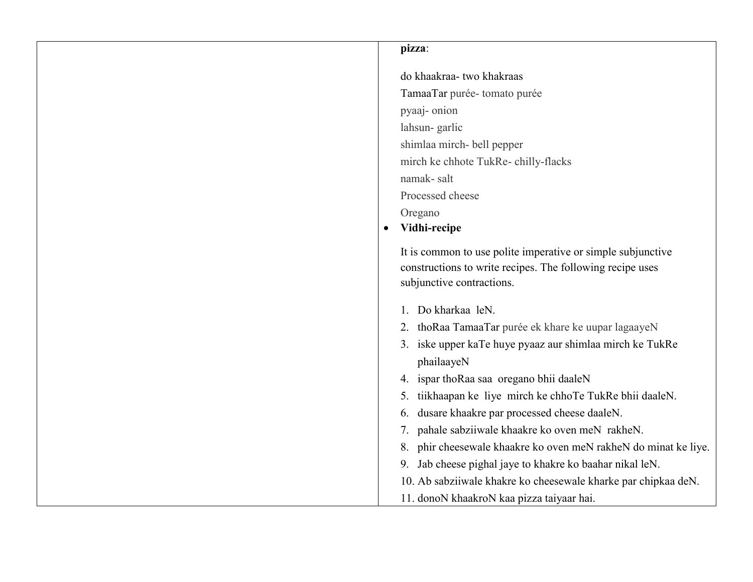## **pizza**:

do khaakraa- two khakraas TamaaTar purée- tomato purée pyaaj- onion lahsun- garlic shimlaa mirch- bell pepper mirch ke chhote TukRe- chilly-flacks namak- salt Processed cheese Oregano **Vidhi-recipe** It is common to use polite imperative or simple subjunctive constructions to write recipes. The following recipe uses subjunctive contractions. 1. Do kharkaa leN. 2. thoRaa TamaaTar purée ek khare ke uupar lagaayeN 3. iske upper kaTe huye pyaaz aur shimlaa mirch ke TukRe phailaayeN 4. ispar thoRaa saa oregano bhii daaleN 5. tiikhaapan ke liye mirch ke chhoTe TukRe bhii daaleN. 6. dusare khaakre par processed cheese daaleN. 7. pahale sabziiwale khaakre ko oven meN rakheN. 8. phir cheesewale khaakre ko oven meN rakheN do minat ke liye. 9. Jab cheese pighal jaye to khakre ko baahar nikal leN. 10. Ab sabziiwale khakre ko cheesewale kharke par chipkaa deN. 11. donoN khaakroN kaa pizza taiyaar hai.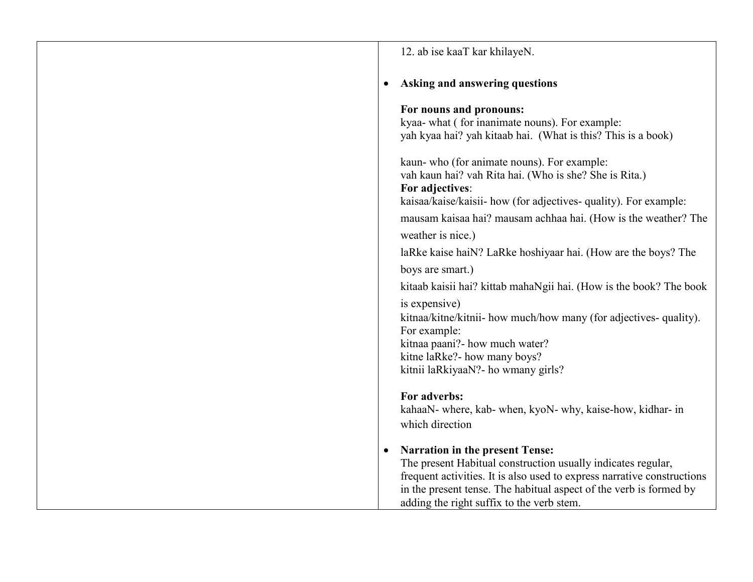| 12. ab ise kaaT kar khilayeN.                                                                                                                                                                                                                                                                        |
|------------------------------------------------------------------------------------------------------------------------------------------------------------------------------------------------------------------------------------------------------------------------------------------------------|
| Asking and answering questions                                                                                                                                                                                                                                                                       |
| For nouns and pronouns:<br>kyaa- what (for inanimate nouns). For example:<br>yah kyaa hai? yah kitaab hai. (What is this? This is a book)                                                                                                                                                            |
| kaun- who (for animate nouns). For example:<br>vah kaun hai? vah Rita hai. (Who is she? She is Rita.)<br>For adjectives:<br>kaisaa/kaise/kaisii- how (for adjectives- quality). For example:                                                                                                         |
| mausam kaisaa hai? mausam achhaa hai. (How is the weather? The                                                                                                                                                                                                                                       |
| weather is nice.)                                                                                                                                                                                                                                                                                    |
| laRke kaise hai N? LaRke hoshiyaar hai. (How are the boys? The                                                                                                                                                                                                                                       |
| boys are smart.)                                                                                                                                                                                                                                                                                     |
| kitaab kaisii hai? kittab mahaNgii hai. (How is the book? The book                                                                                                                                                                                                                                   |
| is expensive)<br>kitnaa/kitne/kitnii- how much/how many (for adjectives- quality).<br>For example:<br>kitnaa paani?- how much water?<br>kitne laRke?- how many boys?<br>kitnii laRkiyaaN?- ho wmany girls?                                                                                           |
| For adverbs:<br>kahaaN- where, kab- when, kyoN- why, kaise-how, kidhar- in<br>which direction                                                                                                                                                                                                        |
| <b>Narration in the present Tense:</b><br>The present Habitual construction usually indicates regular,<br>frequent activities. It is also used to express narrative constructions<br>in the present tense. The habitual aspect of the verb is formed by<br>adding the right suffix to the verb stem. |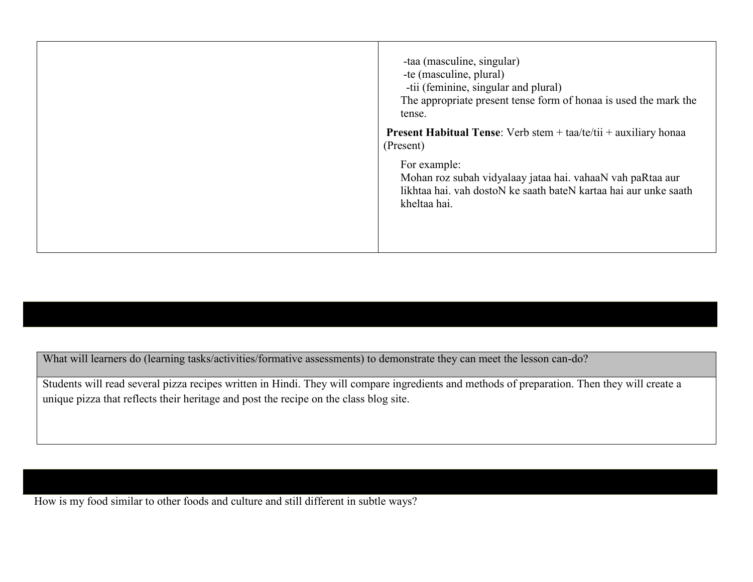| -taa (masculine, singular)<br>-te (masculine, plural)<br>-tii (feminine, singular and plural)<br>The appropriate present tense form of honaa is used the mark the<br>tense.<br><b>Present Habitual Tense:</b> Verb stem $+$ taa/te/tii $+$ auxiliary honaa |
|------------------------------------------------------------------------------------------------------------------------------------------------------------------------------------------------------------------------------------------------------------|
| (Present)<br>For example:<br>Mohan roz subah vidyalaay jataa hai. vahaaN vah paRtaa aur<br>likhtaa hai. vah dostoN ke saath bateN kartaa hai aur unke saath<br>kheltaa hai.                                                                                |

What will learners do (learning tasks/activities/formative assessments) to demonstrate they can meet the lesson can-do?

Students will read several pizza recipes written in Hindi. They will compare ingredients and methods of preparation. Then they will create a unique pizza that reflects their heritage and post the recipe on the class blog site.

How is my food similar to other foods and culture and still different in subtle ways?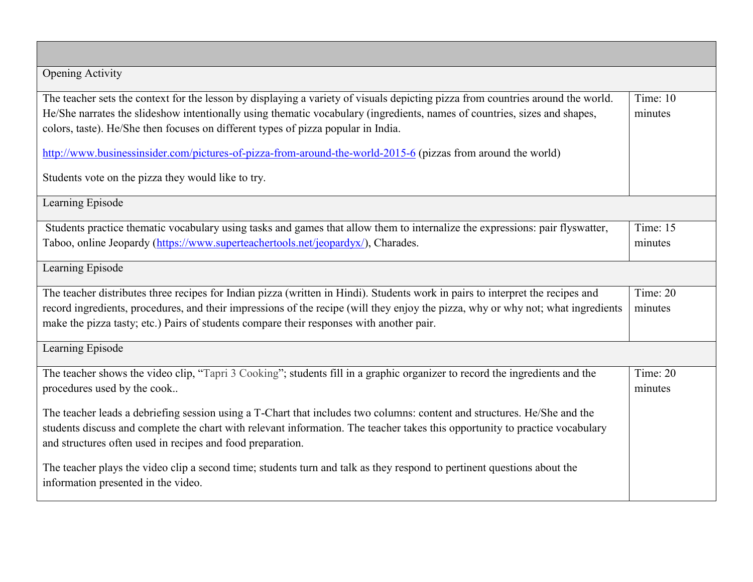| <b>Opening Activity</b>                                                                                                          |            |
|----------------------------------------------------------------------------------------------------------------------------------|------------|
| The teacher sets the context for the lesson by displaying a variety of visuals depicting pizza from countries around the world.  | Time: 10   |
| He/She narrates the slideshow intentionally using thematic vocabulary (ingredients, names of countries, sizes and shapes,        | minutes    |
| colors, taste). He/She then focuses on different types of pizza popular in India.                                                |            |
| http://www.businessinsider.com/pictures-of-pizza-from-around-the-world-2015-6 (pizzas from around the world)                     |            |
| Students vote on the pizza they would like to try.                                                                               |            |
| Learning Episode                                                                                                                 |            |
| Students practice thematic vocabulary using tasks and games that allow them to internalize the expressions: pair flyswatter,     | Time: 15   |
| Taboo, online Jeopardy (https://www.superteachertools.net/jeopardyx/), Charades.                                                 | minutes    |
| Learning Episode                                                                                                                 |            |
| The teacher distributes three recipes for Indian pizza (written in Hindi). Students work in pairs to interpret the recipes and   | Time: $20$ |
| record ingredients, procedures, and their impressions of the recipe (will they enjoy the pizza, why or why not; what ingredients | minutes    |
| make the pizza tasty; etc.) Pairs of students compare their responses with another pair.                                         |            |
| Learning Episode                                                                                                                 |            |
| The teacher shows the video clip, "Tapri 3 Cooking"; students fill in a graphic organizer to record the ingredients and the      | Time: $20$ |
| procedures used by the cook                                                                                                      | minutes    |
| The teacher leads a debriefing session using a T-Chart that includes two columns: content and structures. He/She and the         |            |
| students discuss and complete the chart with relevant information. The teacher takes this opportunity to practice vocabulary     |            |
| and structures often used in recipes and food preparation.                                                                       |            |
| The teacher plays the video clip a second time; students turn and talk as they respond to pertinent questions about the          |            |
| information presented in the video.                                                                                              |            |
|                                                                                                                                  |            |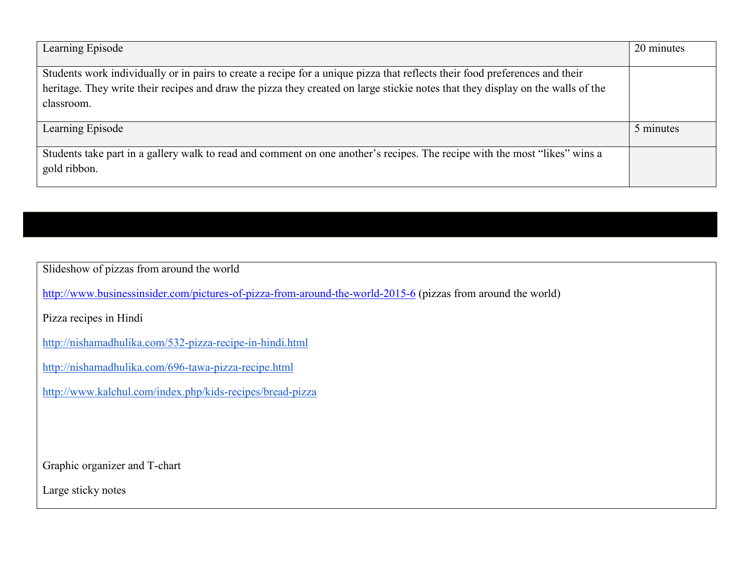| Learning Episode                                                                                                                                                                                                                                                             | 20 minutes |
|------------------------------------------------------------------------------------------------------------------------------------------------------------------------------------------------------------------------------------------------------------------------------|------------|
| Students work individually or in pairs to create a recipe for a unique pizza that reflects their food preferences and their<br>heritage. They write their recipes and draw the pizza they created on large stickie notes that they display on the walls of the<br>classroom. |            |
| Learning Episode                                                                                                                                                                                                                                                             | 5 minutes  |
| Students take part in a gallery walk to read and comment on one another's recipes. The recipe with the most "likes" wins a<br>gold ribbon.                                                                                                                                   |            |

Slideshow of pizzas from around the world

<http://www.businessinsider.com/pictures-of-pizza-from-around-the-world-2015-6> (pizzas from around the world)

Pizza recipes in Hindi

<http://nishamadhulika.com/532-pizza-recipe-in-hindi.html>

<http://nishamadhulika.com/696-tawa-pizza-recipe.html>

<http://www.kalchul.com/index.php/kids-recipes/bread-pizza>

Graphic organizer and T-chart

Large sticky notes